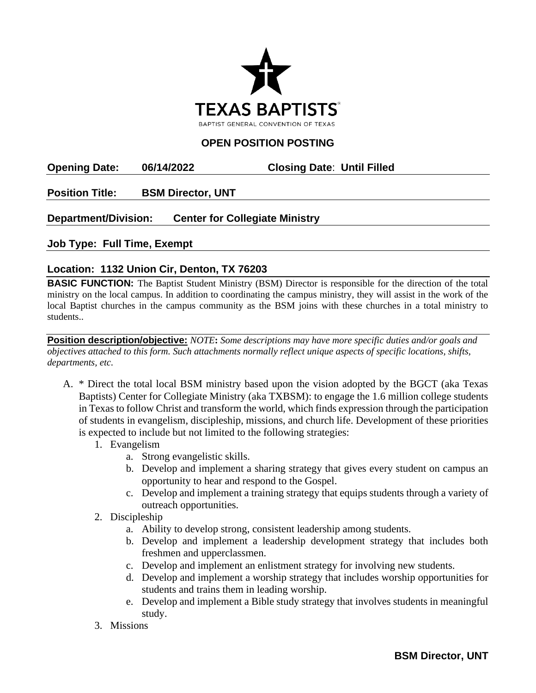

## **OPEN POSITION POSTING**

**Opening Date: 06/14/2022 Closing Date**: **Until Filled**

**Position Title: BSM Director, UNT**

## **Department/Division: Center for Collegiate Ministry**

**Job Type: Full Time, Exempt**

## **Location: 1132 Union Cir, Denton, TX 76203**

**BASIC FUNCTION:** The Baptist Student Ministry (BSM) Director is responsible for the direction of the total ministry on the local campus. In addition to coordinating the campus ministry, they will assist in the work of the local Baptist churches in the campus community as the BSM joins with these churches in a total ministry to students..

**Position description/objective:** *NOTE***:** *Some descriptions may have more specific duties and/or goals and objectives attached to this form. Such attachments normally reflect unique aspects of specific locations, shifts, departments, etc.* 

- A. \* Direct the total local BSM ministry based upon the vision adopted by the BGCT (aka Texas Baptists) Center for Collegiate Ministry (aka TXBSM): to engage the 1.6 million college students in Texas to follow Christ and transform the world, which finds expression through the participation of students in evangelism, discipleship, missions, and church life. Development of these priorities is expected to include but not limited to the following strategies:
	- 1. Evangelism
		- a. Strong evangelistic skills.
		- b. Develop and implement a sharing strategy that gives every student on campus an opportunity to hear and respond to the Gospel.
		- c. Develop and implement a training strategy that equips students through a variety of outreach opportunities.
	- 2. Discipleship
		- a. Ability to develop strong, consistent leadership among students.
		- b. Develop and implement a leadership development strategy that includes both freshmen and upperclassmen.
		- c. Develop and implement an enlistment strategy for involving new students.
		- d. Develop and implement a worship strategy that includes worship opportunities for students and trains them in leading worship.
		- e. Develop and implement a Bible study strategy that involves students in meaningful study.
	- 3. Missions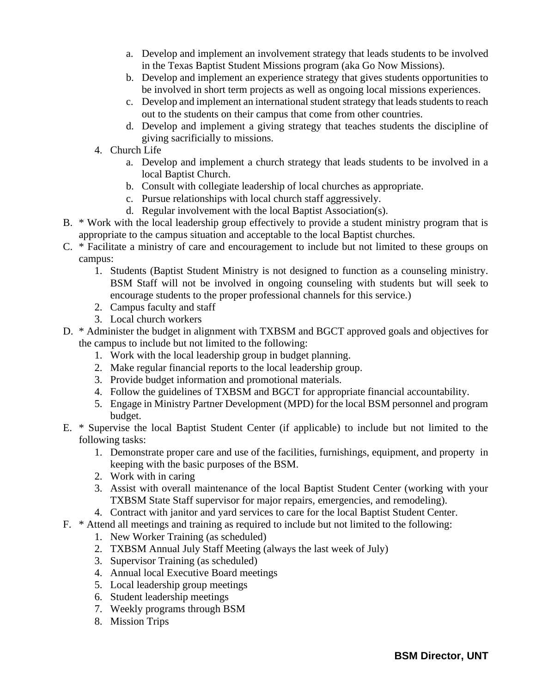- a. Develop and implement an involvement strategy that leads students to be involved in the Texas Baptist Student Missions program (aka Go Now Missions).
- b. Develop and implement an experience strategy that gives students opportunities to be involved in short term projects as well as ongoing local missions experiences.
- c. Develop and implement an international student strategy that leads students to reach out to the students on their campus that come from other countries.
- d. Develop and implement a giving strategy that teaches students the discipline of giving sacrificially to missions.
- 4. Church Life
	- a. Develop and implement a church strategy that leads students to be involved in a local Baptist Church.
	- b. Consult with collegiate leadership of local churches as appropriate.
	- c. Pursue relationships with local church staff aggressively.
	- d. Regular involvement with the local Baptist Association(s).
- B. \* Work with the local leadership group effectively to provide a student ministry program that is appropriate to the campus situation and acceptable to the local Baptist churches.
- C. \* Facilitate a ministry of care and encouragement to include but not limited to these groups on campus:
	- 1. Students (Baptist Student Ministry is not designed to function as a counseling ministry. BSM Staff will not be involved in ongoing counseling with students but will seek to encourage students to the proper professional channels for this service.)
	- 2. Campus faculty and staff
	- 3. Local church workers
- D. \* Administer the budget in alignment with TXBSM and BGCT approved goals and objectives for the campus to include but not limited to the following:
	- 1. Work with the local leadership group in budget planning.
	- 2. Make regular financial reports to the local leadership group.
	- 3. Provide budget information and promotional materials.
	- 4. Follow the guidelines of TXBSM and BGCT for appropriate financial accountability.
	- 5. Engage in Ministry Partner Development (MPD) for the local BSM personnel and program budget.
- E. \* Supervise the local Baptist Student Center (if applicable) to include but not limited to the following tasks:
	- 1. Demonstrate proper care and use of the facilities, furnishings, equipment, and property in keeping with the basic purposes of the BSM.
	- 2. Work with in caring
	- 3. Assist with overall maintenance of the local Baptist Student Center (working with your TXBSM State Staff supervisor for major repairs, emergencies, and remodeling).
	- 4. Contract with janitor and yard services to care for the local Baptist Student Center.
- F. \* Attend all meetings and training as required to include but not limited to the following:
	- 1. New Worker Training (as scheduled)
	- 2. TXBSM Annual July Staff Meeting (always the last week of July)
	- 3. Supervisor Training (as scheduled)
	- 4. Annual local Executive Board meetings
	- 5. Local leadership group meetings
	- 6. Student leadership meetings
	- 7. Weekly programs through BSM
	- 8. Mission Trips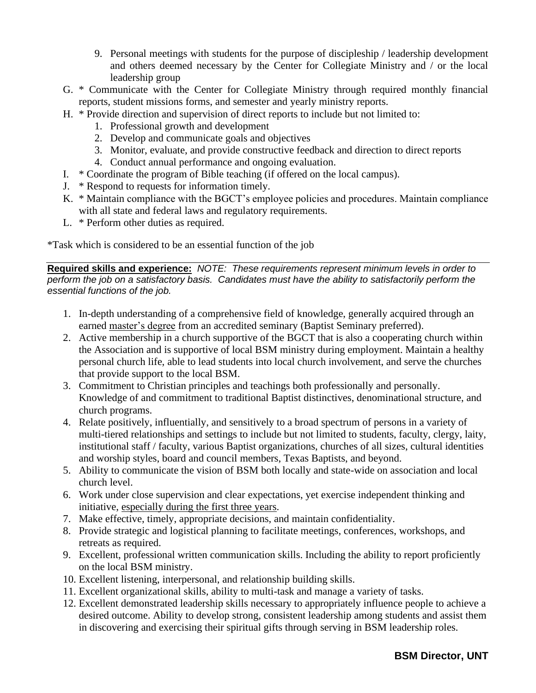- 9. Personal meetings with students for the purpose of discipleship / leadership development and others deemed necessary by the Center for Collegiate Ministry and / or the local leadership group
- G. \* Communicate with the Center for Collegiate Ministry through required monthly financial reports, student missions forms, and semester and yearly ministry reports.
- H. \* Provide direction and supervision of direct reports to include but not limited to:
	- 1. Professional growth and development
	- 2. Develop and communicate goals and objectives
	- 3. Monitor, evaluate, and provide constructive feedback and direction to direct reports
	- 4. Conduct annual performance and ongoing evaluation.
- I. \* Coordinate the program of Bible teaching (if offered on the local campus).
- J. \* Respond to requests for information timely.
- K. \* Maintain compliance with the BGCT's employee policies and procedures. Maintain compliance with all state and federal laws and regulatory requirements.
- L. \* Perform other duties as required.

\*Task which is considered to be an essential function of the job

**Required skills and experience:** *NOTE: These requirements represent minimum levels in order to perform the job on a satisfactory basis. Candidates must have the ability to satisfactorily perform the essential functions of the job.*

- 1. In-depth understanding of a comprehensive field of knowledge, generally acquired through an earned master's degree from an accredited seminary (Baptist Seminary preferred).
- 2. Active membership in a church supportive of the BGCT that is also a cooperating church within the Association and is supportive of local BSM ministry during employment. Maintain a healthy personal church life, able to lead students into local church involvement, and serve the churches that provide support to the local BSM.
- 3. Commitment to Christian principles and teachings both professionally and personally. Knowledge of and commitment to traditional Baptist distinctives, denominational structure, and church programs.
- 4. Relate positively, influentially, and sensitively to a broad spectrum of persons in a variety of multi-tiered relationships and settings to include but not limited to students, faculty, clergy, laity, institutional staff / faculty, various Baptist organizations, churches of all sizes, cultural identities and worship styles, board and council members, Texas Baptists, and beyond.
- 5. Ability to communicate the vision of BSM both locally and state-wide on association and local church level.
- 6. Work under close supervision and clear expectations, yet exercise independent thinking and initiative, especially during the first three years.
- 7. Make effective, timely, appropriate decisions, and maintain confidentiality.
- 8. Provide strategic and logistical planning to facilitate meetings, conferences, workshops, and retreats as required.
- 9. Excellent, professional written communication skills. Including the ability to report proficiently on the local BSM ministry.
- 10. Excellent listening, interpersonal, and relationship building skills.
- 11. Excellent organizational skills, ability to multi-task and manage a variety of tasks.
- 12. Excellent demonstrated leadership skills necessary to appropriately influence people to achieve a desired outcome. Ability to develop strong, consistent leadership among students and assist them in discovering and exercising their spiritual gifts through serving in BSM leadership roles.